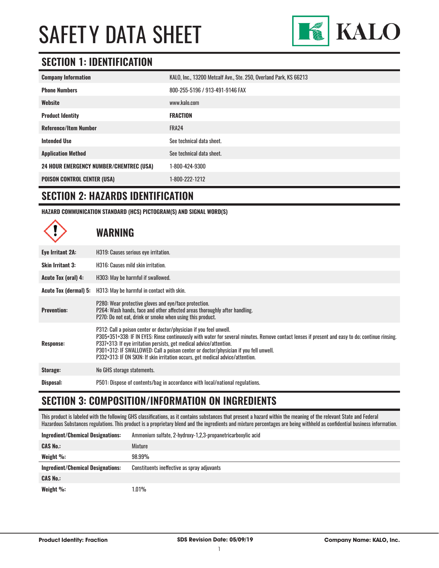

### **SECTION 1: IDENTIFICATION**

| <b>Company Information</b>                     | KALO, Inc., 13200 Metcalf Ave., Ste. 250, Overland Park, KS 66213 |
|------------------------------------------------|-------------------------------------------------------------------|
| <b>Phone Numbers</b>                           | 800-255-5196 / 913-491-9146 FAX                                   |
| Website                                        | www.kalo.com                                                      |
| <b>Product Identity</b>                        | <b>FRACTION</b>                                                   |
| <b>Reference/Item Number</b>                   | FRA24                                                             |
| <b>Intended Use</b>                            | See technical data sheet.                                         |
| <b>Application Method</b>                      | See technical data sheet.                                         |
| <b>24 HOUR EMERGENCY NUMBER/CHEMTREC (USA)</b> | 1-800-424-9300                                                    |
| <b>POISON CONTROL CENTER (USA)</b>             | 1-800-222-1212                                                    |

#### **SECTION 2: HAZARDS IDENTIFICATION**

**HAZARD COMMUNICATION STANDARD (HCS) PICTOGRAM(S) AND SIGNAL WORD(S)**

# **WARNING**

| Eye Irritant 2A:             | H319: Causes serious eye irritation.                                                                                                                                                                                                                                                                                                                                                                                                                                   |
|------------------------------|------------------------------------------------------------------------------------------------------------------------------------------------------------------------------------------------------------------------------------------------------------------------------------------------------------------------------------------------------------------------------------------------------------------------------------------------------------------------|
| <b>Skin Irritant 3:</b>      | H316: Causes mild skin irritation.                                                                                                                                                                                                                                                                                                                                                                                                                                     |
| Acute Tox (oral) 4:          | H303: May be harmful if swallowed.                                                                                                                                                                                                                                                                                                                                                                                                                                     |
| <b>Acute Tox (dermal) 5:</b> | H313: May be harmful in contact with skin.                                                                                                                                                                                                                                                                                                                                                                                                                             |
| <b>Prevention:</b>           | P280: Wear protective gloves and eye/face protection.<br>P264: Wash hands, face and other affected areas thoroughly after handling.<br>P270: Do not eat, drink or smoke when using this product.                                                                                                                                                                                                                                                                       |
| Response:                    | P312: Call a poison center or doctor/physician if you feel unwell.<br>P305+351+338: IF IN EYES: Rinse continuously with water for several minutes. Remove contact lenses if present and easy to do; continue rinsing.<br>P337+313: If eye irritation persists, get medical advice/attention.<br>P301+312: IF SWALLOWED: Call a poison center or doctor/physician if you fell unwell.<br>P332+313: IF ON SKIN: If skin irritation occurs, get medical advice/attention. |
| Storage:                     | No GHS storage statements.                                                                                                                                                                                                                                                                                                                                                                                                                                             |
| Disposal:                    | P501: Dispose of contents/bag in accordance with local/national regulations.                                                                                                                                                                                                                                                                                                                                                                                           |

#### **SECTION 3: COMPOSITION/INFORMATION ON INGREDIENTS**

This product is labeled with the following GHS classifications, as it contains substances that present a hazard within the meaning of the relevant State and Federal Hazardous Substances regulations. This product is a proprietary blend and the ingredients and mixture percentages are being withheld as confidential business information.

| <b>Ingredient/Chemical Designations:</b> | Ammonium sulfate, 2-hydroxy-1,2,3-propanetricarboxylic acid |
|------------------------------------------|-------------------------------------------------------------|
| <b>CAS No.:</b>                          | Mixture                                                     |
| Weight $\%$ :                            | 98.99%                                                      |
|                                          |                                                             |
| <b>Ingredient/Chemical Designations:</b> | Constituents ineffective as spray adjuvants                 |
| <b>CAS No.:</b>                          |                                                             |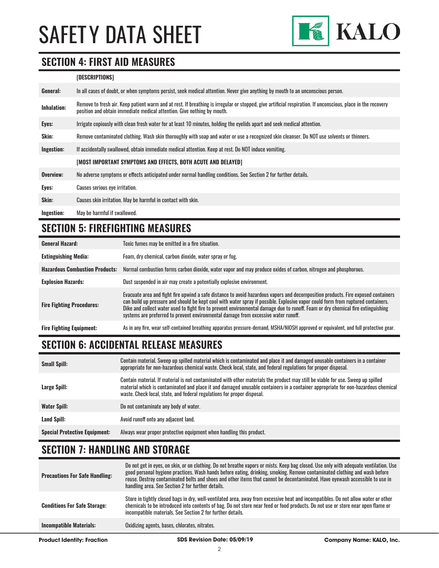

#### **SECTION 4: FIRST AID MEASURES**

#### **[DESCRIPTIONS]**

| General:           | In all cases of doubt, or when symptoms persist, seek medical attention. Never give anything by mouth to an unconscious person.                                                                                                         |
|--------------------|-----------------------------------------------------------------------------------------------------------------------------------------------------------------------------------------------------------------------------------------|
| <b>Inhalation:</b> | Remove to fresh air. Keep patient warm and at rest. If breathing is irregular or stopped, give artificial respiration. If unconscious, place in the recovery<br>position and obtain immediate medical attention. Give nothing by mouth. |
| Eyes:              | Irrigate copiously with clean fresh water for at least 10 minutes, holding the eyelids apart and seek medical attention.                                                                                                                |
| Skin:              | Remove contaminated clothing. Wash skin thoroughly with soap and water or use a recognized skin cleanser. Do NOT use solvents or thinners.                                                                                              |
| Ingestion:         | If accidentally swallowed, obtain immediate medical attention. Keep at rest, Do NOT induce vomiting.                                                                                                                                    |
|                    | [MOST IMPORTANT SYMPTOMS AND EFFECTS, BOTH ACUTE AND DELAYED]                                                                                                                                                                           |
| Overview:          | No adverse symptoms or effects anticipated under normal handling conditions. See Section 2 for further details.                                                                                                                         |
| Eyes:              | Causes serious eye irritation.                                                                                                                                                                                                          |
| Skin:              | Causes skin irritation. May be harmful in contact with skin.                                                                                                                                                                            |
| Ingestion:         | May be harmful if swallowed.                                                                                                                                                                                                            |

# **SECTION 5: FIREFIGHTING MEASURES**

| <b>General Hazard:</b>                | Toxic fumes may be emitted in a fire situation.                                                                                                                                                                                                                                                                                                                                                                                                                                                 |  |
|---------------------------------------|-------------------------------------------------------------------------------------------------------------------------------------------------------------------------------------------------------------------------------------------------------------------------------------------------------------------------------------------------------------------------------------------------------------------------------------------------------------------------------------------------|--|
| <b>Extinguishing Media:</b>           | Foam, dry chemical, carbon dioxide, water spray or fog.                                                                                                                                                                                                                                                                                                                                                                                                                                         |  |
| <b>Hazardous Combustion Products:</b> | Normal combustion forms carbon dioxide, water vapor and may produce oxides of carbon, nitrogen and phosphorous.                                                                                                                                                                                                                                                                                                                                                                                 |  |
| <b>Explosion Hazards:</b>             | Dust suspended in air may create a potentially explosive environment.                                                                                                                                                                                                                                                                                                                                                                                                                           |  |
| <b>Fire Fighting Procedures:</b>      | Evacuate area and fight fire upwind a safe distance to avoid hazardous vapors and decomposition products. Fire exposed containers<br>can build up pressure and should be kept cool with water spray if possible. Explosive vapor could form from ruptured containers.<br>Dike and collect water used to fight fire to prevent environmental damage due to runoff. Foam or dry chemical fire extinguishing<br>systems are preferred to prevent environmental damage from excessive water runoff. |  |
| <b>Fire Fighting Equipment:</b>       | As in any fire, wear self-contained breathing apparatus pressure-demand, MSHA/NIOSH approved or equivalent, and full protective gear.                                                                                                                                                                                                                                                                                                                                                           |  |

# **SECTION 6: ACCIDENTAL RELEASE MEASURES**

| <b>Small Spill:</b>                  | Contain material. Sweep up spilled material which is contaminated and place it and damaged unusable containers in a container<br>appropriate for non-hazardous chemical waste. Check local, state, and federal regulations for proper disposal.                                                                                                  |
|--------------------------------------|--------------------------------------------------------------------------------------------------------------------------------------------------------------------------------------------------------------------------------------------------------------------------------------------------------------------------------------------------|
| Large Spill:                         | Contain material. If material is not contaminated with other materials the product may still be viable for use. Sweep up spilled<br>material which is contaminated and place it and damaged unusable containers in a container appropriate for non-hazardous chemical<br>waste. Check local, state, and federal regulations for proper disposal. |
| <b>Water Spill:</b>                  | Do not contaminate any body of water.                                                                                                                                                                                                                                                                                                            |
| Land Spill:                          | Avoid runoff onto any adjacent land.                                                                                                                                                                                                                                                                                                             |
| <b>Special Protective Equipment:</b> | Always wear proper protective equipment when handling this product.                                                                                                                                                                                                                                                                              |

### **SECTION 7: HANDLING AND STORAGE**

| Product Identity: Fraction            | SDS Revision Date: 05/09/19                                                                                                                                                                                                                                                                                                                                                                                                                              | <b>Company Name: KALO, Inc.</b> |
|---------------------------------------|----------------------------------------------------------------------------------------------------------------------------------------------------------------------------------------------------------------------------------------------------------------------------------------------------------------------------------------------------------------------------------------------------------------------------------------------------------|---------------------------------|
| <b>Incompatible Materials:</b>        | Oxidizing agents, bases, chlorates, nitrates.                                                                                                                                                                                                                                                                                                                                                                                                            |                                 |
| <b>Conditions For Safe Storage:</b>   | Store in tightly closed bags in dry, well-ventilated area, away from excessive heat and incompatibles. Do not allow water or other<br>chemicals to be introduced into contents of bag. Do not store near feed or food products. Do not use or store near open flame or<br>incompatible materials. See Section 2 for further details.                                                                                                                     |                                 |
| <b>Precautions For Safe Handling:</b> | Do not get in eyes, on skin, or on clothing. Do not breathe vapors or mists. Keep bag closed. Use only with adequate ventilation. Use<br>good personal hygiene practices. Wash hands before eating, drinking, smoking. Remove contaminated clothing and wash before<br>reuse. Destrov contaminated belts and shoes and other items that cannot be decontaminated. Have evewash accessible to use in<br>handling area. See Section 2 for further details. |                                 |

2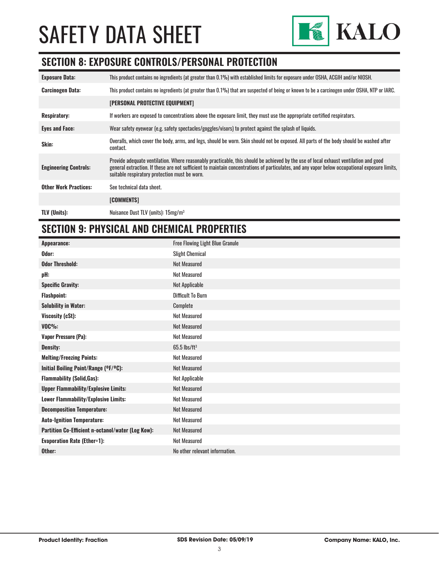

#### **SECTION 8: EXPOSURE CONTROLS/PERSONAL PROTECTION**

| <b>Exposure Data:</b>        | This product contains no ingredients (at greater than 0.1%) with established limits for exposure under OSHA, ACGIH and/or NIOSH.                                                                                                                                                                                                       |
|------------------------------|----------------------------------------------------------------------------------------------------------------------------------------------------------------------------------------------------------------------------------------------------------------------------------------------------------------------------------------|
| <b>Carcinogen Data:</b>      | This product contains no ingredients (at greater than 0.1%) that are suspected of being or known to be a carcinogen under OSHA, NTP or IARC.                                                                                                                                                                                           |
|                              | <b>[PERSONAL PROTECTIVE EQUIPMENT]</b>                                                                                                                                                                                                                                                                                                 |
| <b>Respiratory:</b>          | If workers are exposed to concentrations above the exposure limit, they must use the appropriate certified respirators.                                                                                                                                                                                                                |
| <b>Eyes and Face:</b>        | Wear safety eyewear (e.g. safety spectacles/goggles/visors) to protect against the splash of liquids.                                                                                                                                                                                                                                  |
| Skin:                        | Overalls, which cover the body, arms, and legs, should be worn. Skin should not be exposed. All parts of the body should be washed after<br>contact.                                                                                                                                                                                   |
| <b>Engineering Controls:</b> | Provide adequate ventilation. Where reasonably practicable, this should be achieved by the use of local exhaust ventilation and good<br>general extraction. If these are not sufficient to maintain concentrations of particulates, and any vapor below occupational exposure limits,<br>suitable respiratory protection must be worn. |
| <b>Other Work Practices:</b> | See technical data sheet.                                                                                                                                                                                                                                                                                                              |
|                              | [COMMENTS]                                                                                                                                                                                                                                                                                                                             |
| <b>TLV (Units):</b>          | Nuisance Dust TLV (units): 15mg/m <sup>3</sup>                                                                                                                                                                                                                                                                                         |

#### **SECTION 9: PHYSICAL AND CHEMICAL PROPERTIES**

| Appearance:                                       | <b>Free Flowing Light Blue Granule</b> |
|---------------------------------------------------|----------------------------------------|
| Odor:                                             | <b>Slight Chemical</b>                 |
| <b>Odor Threshold:</b>                            | <b>Not Measured</b>                    |
| pH:                                               | <b>Not Measured</b>                    |
| <b>Specific Gravity:</b>                          | Not Applicable                         |
| <b>Flashpoint:</b>                                | <b>Difficult To Burn</b>               |
| <b>Solubility in Water:</b>                       | Complete                               |
| Viscosity (cSt):                                  | <b>Not Measured</b>                    |
| $VOC\%$ :                                         | <b>Not Measured</b>                    |
| <b>Vapor Pressure (Pa):</b>                       | <b>Not Measured</b>                    |
| <b>Density:</b>                                   | $65.5$ lbs/ft <sup>3</sup>             |
| <b>Melting/Freezing Points:</b>                   | <b>Not Measured</b>                    |
| Initial Boiling Point/Range (°F/°C):              | <b>Not Measured</b>                    |
| <b>Flammability (Solid, Gas):</b>                 | Not Applicable                         |
| <b>Upper Flammability/Explosive Limits:</b>       | <b>Not Measured</b>                    |
| Lower Flammability/Explosive Limits:              | <b>Not Measured</b>                    |
| <b>Decomposition Temperature:</b>                 | <b>Not Measured</b>                    |
| <b>Auto-Ignition Temperature:</b>                 | <b>Not Measured</b>                    |
| Partition Co-Efficient n-octanol/water (Log Kow): | <b>Not Measured</b>                    |
| <b>Evaporation Rate (Ether=1):</b>                | <b>Not Measured</b>                    |
| Other:                                            | No other relevant information.         |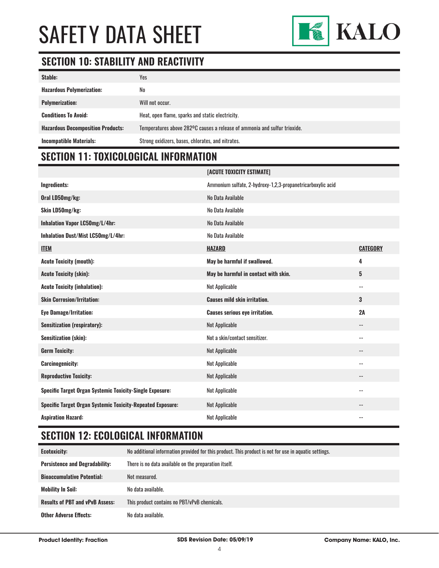

# **SECTION 10: STABILITY AND REACTIVITY**

| Stable:                                  | Yes                                                                       |
|------------------------------------------|---------------------------------------------------------------------------|
| <b>Hazardous Polymerization:</b>         | No                                                                        |
| <b>Polymerization:</b>                   | Will not occur.                                                           |
| <b>Conditions To Avoid:</b>              | Heat, open flame, sparks and static electricity.                          |
| <b>Hazardous Decomposition Products:</b> | Temperatures above 282°C causes a release of ammonia and sulfur trioxide. |
| <b>Incompatible Materials:</b>           | Strong oxidizers, bases, chlorates, and nitrates.                         |

# **SECTION 11: TOXICOLOGICAL INFORMATION**

|                                                                   | [ACUTE TOXICITY ESTIMATE]                                   |                          |
|-------------------------------------------------------------------|-------------------------------------------------------------|--------------------------|
| Ingredients:                                                      | Ammonium sulfate, 2-hydroxy-1,2,3-propanetricarboxylic acid |                          |
| Oral LD50mg/kg:                                                   | No Data Available                                           |                          |
| Skin LD50mg/kg:                                                   | No Data Available                                           |                          |
| Inhalation Vapor LC50mg/L/4hr:                                    | No Data Available                                           |                          |
| Inhalation Dust/Mist LC50mg/L/4hr:                                | No Data Available                                           |                          |
| <b>ITEM</b>                                                       | <b>HAZARD</b>                                               | <b>CATEGORY</b>          |
| <b>Acute Toxicity (mouth):</b>                                    | May be harmful if swallowed.                                | 4                        |
| <b>Acute Toxicity (skin):</b>                                     | May be harmful in contact with skin.                        | 5                        |
| <b>Acute Toxicity (inhalation):</b>                               | <b>Not Applicable</b>                                       | $\sim$ $\sim$            |
| <b>Skin Corrosion/Irritation:</b>                                 | <b>Causes mild skin irritation.</b>                         | 3                        |
| <b>Eye Damage/Irritation:</b>                                     | <b>Causes serious eye irritation.</b>                       | 2A                       |
| <b>Sensitization (respiratory):</b>                               | <b>Not Applicable</b>                                       | $\sim$ $\sim$            |
| Sensitization (skin):                                             | Not a skin/contact sensitizer.                              | $\sim$ $\sim$            |
| <b>Germ Toxicity:</b>                                             | <b>Not Applicable</b>                                       | $- -$                    |
| <b>Carcinogenicity:</b>                                           | <b>Not Applicable</b>                                       | $-$                      |
| <b>Reproductive Toxicity:</b>                                     | <b>Not Applicable</b>                                       | $\overline{\phantom{m}}$ |
| <b>Specific Target Organ Systemic Toxicity-Single Exposure:</b>   | <b>Not Applicable</b>                                       | $ -$                     |
| <b>Specific Target Organ Systemic Toxicity-Repeated Exposure:</b> | <b>Not Applicable</b>                                       | $-$                      |
| <b>Aspiration Hazard:</b>                                         | <b>Not Applicable</b>                                       | $\sim$ $\sim$            |

## **SECTION 12: ECOLOGICAL INFORMATION**

| <b>Ecotoxicity:</b>                    | No additional information provided for this product. This product is not for use in aquatic settings. |
|----------------------------------------|-------------------------------------------------------------------------------------------------------|
| <b>Persistence and Degradability:</b>  | There is no data available on the preparation itself.                                                 |
| <b>Bioaccumulative Potential:</b>      | Not measured.                                                                                         |
| <b>Mobility In Soil:</b>               | No data available.                                                                                    |
| <b>Results of PBT and vPvB Assess:</b> | This product contains no PBT/vPvB chemicals.                                                          |
| <b>Other Adverse Effects:</b>          | No data available.                                                                                    |